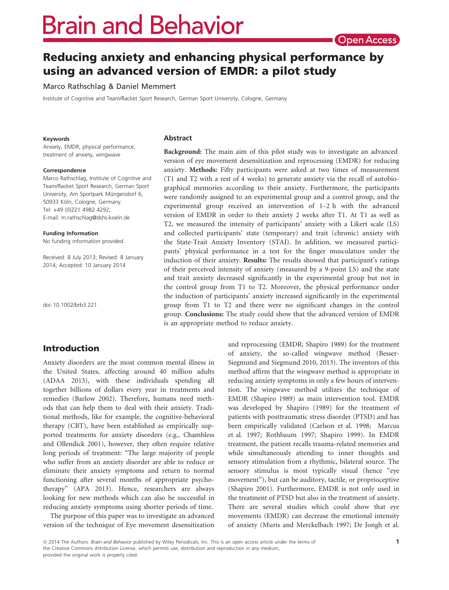# **Brain and Behavior**

# Reducing anxiety and enhancing physical performance by using an advanced version of EMDR: a pilot study

Marco Rathschlag & Daniel Memmert

Institute of Cognitive and Team/Racket Sport Research, German Sport University, Cologne, Germany

#### Keywords

Anxiety, EMDR, physical performance, treatment of anxiety, wingwave

#### Correspondence

Marco Rathschlag, Institute of Cognitive and Team/Racket Sport Research, German Sport University, Am Sportpark Müngersdorf 6, 50933 Köln, Cologne, Germany. Tel: +49 (0)221 4982 4292; E-mail: m.rathschlag@dshs-koeln.de

Funding Information No funding information provided.

Received: 8 July 2013; Revised: 8 January 2014; Accepted: 10 January 2014

doi: 10.1002/brb3.221

# Introduction

Anxiety disorders are the most common mental illness in the United States, affecting around 40 million adults (ADAA 2013), with these individuals spending all together billions of dollars every year in treatments and remedies (Barlow 2002). Therefore, humans need methods that can help them to deal with their anxiety. Traditional methods, like for example, the cognitive-behavioral therapy (CBT), have been established as empirically supported treatments for anxiety disorders (e.g., Chambless and Ollendick 2001), however, they often require relative long periods of treatment: "The large majority of people who suffer from an anxiety disorder are able to reduce or eliminate their anxiety symptoms and return to normal functioning after several months of appropriate psychotherapy" (APA 2013). Hence, researchers are always looking for new methods which can also be successful in reducing anxiety symptoms using shorter periods of time.

The purpose of this paper was to investigate an advanced version of the technique of Eye movement desensitization

#### Abstract

Background: The main aim of this pilot study was to investigate an advanced version of eye movement desensitization and reprocessing (EMDR) for reducing anxiety. Methods: Fifty participants were asked at two times of measurement (T1 and T2 with a rest of 4 weeks) to generate anxiety via the recall of autobiographical memories according to their anxiety. Furthermore, the participants were randomly assigned to an experimental group and a control group, and the experimental group received an intervention of 1–2 h with the advanced version of EMDR in order to their anxiety 2 weeks after T1. At T1 as well as T2, we measured the intensity of participants' anxiety with a Likert scale (LS) and collected participants' state (temporary) and trait (chronic) anxiety with the State-Trait Anxiety Inventory (STAI). In addition, we measured participants' physical performance in a test for the finger musculature under the induction of their anxiety. Results: The results showed that participant's ratings of their perceived intensity of anxiety (measured by a 9-point LS) and the state and trait anxiety decreased significantly in the experimental group but not in the control group from T1 to T2. Moreover, the physical performance under the induction of participants' anxiety increased significantly in the experimental group from T1 to T2 and there were no significant changes in the control group. Conclusions: The study could show that the advanced version of EMDR is an appropriate method to reduce anxiety.

> and reprocessing (EMDR; Shapiro 1989) for the treatment of anxiety, the so-called wingwave method (Besser-Siegmund and Siegmund 2010, 2013). The inventors of this method affirm that the wingwave method is appropriate in reducing anxiety symptoms in only a few hours of intervention. The wingwave method utilizes the technique of EMDR (Shapiro 1989) as main intervention tool. EMDR was developed by Shapiro (1989) for the treatment of patients with posttraumatic stress disorder (PTSD) and has been empirically validated (Carlson et al. 1998; Marcus et al. 1997; Rothbaum 1997; Shapiro 1999). In EMDR treatment, the patient recalls trauma-related memories and while simultaneously attending to inner thoughts and sensory stimulation from a rhythmic, bilateral source. The sensory stimulus is most typically visual (hence "eye movement"), but can be auditory, tactile, or proprioceptive (Shapiro 2001). Furthermore, EMDR is not only used in the treatment of PTSD but also in the treatment of anxiety. There are several studies which could show that eye movements (EMDR) can decrease the emotional intensity of anxiety (Muris and Merckelbach 1997; De Jongh et al.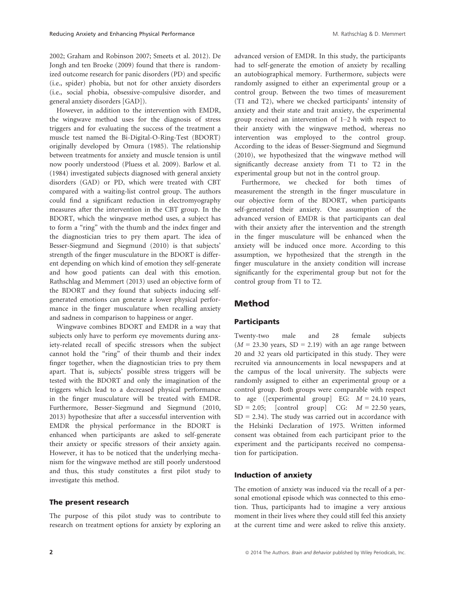2002; Graham and Robinson 2007; Smeets et al. 2012). De Jongh and ten Broeke (2009) found that there is randomized outcome research for panic disorders (PD) and specific (i.e., spider) phobia, but not for other anxiety disorders (i.e., social phobia, obsessive-compulsive disorder, and general anxiety disorders [GAD]).

However, in addition to the intervention with EMDR, the wingwave method uses for the diagnosis of stress triggers and for evaluating the success of the treatment a muscle test named the Bi-Digital-O-Ring-Test (BDORT) originally developed by Omura (1985). The relationship between treatments for anxiety and muscle tension is until now poorly understood (Pluess et al. 2009). Barlow et al. (1984) investigated subjects diagnosed with general anxiety disorders (GAD) or PD, which were treated with CBT compared with a waiting-list control group. The authors could find a significant reduction in electromyography measures after the intervention in the CBT group. In the BDORT, which the wingwave method uses, a subject has to form a "ring" with the thumb and the index finger and the diagnostician tries to pry them apart. The idea of Besser-Siegmund and Siegmund (2010) is that subjects' strength of the finger musculature in the BDORT is different depending on which kind of emotion they self-generate and how good patients can deal with this emotion. Rathschlag and Memmert (2013) used an objective form of the BDORT and they found that subjects inducing selfgenerated emotions can generate a lower physical performance in the finger musculature when recalling anxiety and sadness in comparison to happiness or anger.

Wingwave combines BDORT and EMDR in a way that subjects only have to perform eye movements during anxiety-related recall of specific stressors when the subject cannot hold the "ring" of their thumb and their index finger together, when the diagnostician tries to pry them apart. That is, subjects' possible stress triggers will be tested with the BDORT and only the imagination of the triggers which lead to a decreased physical performance in the finger musculature will be treated with EMDR. Furthermore, Besser-Siegmund and Siegmund (2010, 2013) hypothesize that after a successful intervention with EMDR the physical performance in the BDORT is enhanced when participants are asked to self-generate their anxiety or specific stressors of their anxiety again. However, it has to be noticed that the underlying mechanism for the wingwave method are still poorly understood and thus, this study constitutes a first pilot study to investigate this method.

#### The present research

The purpose of this pilot study was to contribute to research on treatment options for anxiety by exploring an advanced version of EMDR. In this study, the participants had to self-generate the emotion of anxiety by recalling an autobiographical memory. Furthermore, subjects were randomly assigned to either an experimental group or a control group. Between the two times of measurement (T1 and T2), where we checked participants' intensity of anxiety and their state and trait anxiety, the experimental group received an intervention of 1–2 h with respect to their anxiety with the wingwave method, whereas no intervention was employed to the control group. According to the ideas of Besser-Siegmund and Siegmund (2010), we hypothesized that the wingwave method will significantly decrease anxiety from T1 to T2 in the experimental group but not in the control group.

Furthermore, we checked for both times of measurement the strength in the finger musculature in our objective form of the BDORT, when participants self-generated their anxiety. One assumption of the advanced version of EMDR is that participants can deal with their anxiety after the intervention and the strength in the finger musculature will be enhanced when the anxiety will be induced once more. According to this assumption, we hypothesized that the strength in the finger musculature in the anxiety condition will increase significantly for the experimental group but not for the control group from T1 to T2.

# Method

#### Participants

Twenty-two male and 28 female subjects  $(M = 23.30$  years,  $SD = 2.19$ ) with an age range between 20 and 32 years old participated in this study. They were recruited via announcements in local newspapers and at the campus of the local university. The subjects were randomly assigned to either an experimental group or a control group. Both groups were comparable with respect to age ([experimental group] EG:  $M = 24.10$  years,  $SD = 2.05$ ; [control group] CG:  $M = 22.50$  years,  $SD = 2.34$ ). The study was carried out in accordance with the Helsinki Declaration of 1975. Written informed consent was obtained from each participant prior to the experiment and the participants received no compensation for participation.

### Induction of anxiety

The emotion of anxiety was induced via the recall of a personal emotional episode which was connected to this emotion. Thus, participants had to imagine a very anxious moment in their lives where they could still feel this anxiety at the current time and were asked to relive this anxiety.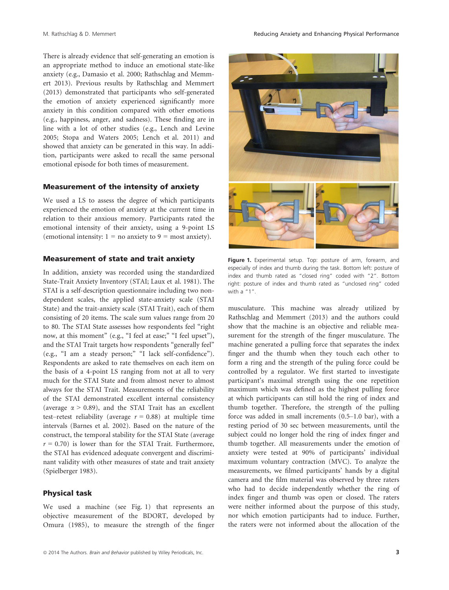There is already evidence that self-generating an emotion is an appropriate method to induce an emotional state-like anxiety (e.g., Damasio et al. 2000; Rathschlag and Memmert 2013). Previous results by Rathschlag and Memmert (2013) demonstrated that participants who self-generated the emotion of anxiety experienced significantly more anxiety in this condition compared with other emotions (e.g., happiness, anger, and sadness). These finding are in line with a lot of other studies (e.g., Lench and Levine 2005; Stopa and Waters 2005; Lench et al. 2011) and showed that anxiety can be generated in this way. In addition, participants were asked to recall the same personal emotional episode for both times of measurement.

#### Measurement of the intensity of anxiety

We used a LS to assess the degree of which participants experienced the emotion of anxiety at the current time in relation to their anxious memory. Participants rated the emotional intensity of their anxiety, using a 9-point LS (emotional intensity:  $1 = no$  anxiety to  $9 = most$  anxiety).

#### Measurement of state and trait anxiety

In addition, anxiety was recorded using the standardized State-Trait Anxiety Inventory (STAI; Laux et al. 1981). The STAI is a self-description questionnaire including two nondependent scales, the applied state-anxiety scale (STAI State) and the trait-anxiety scale (STAI Trait), each of them consisting of 20 items. The scale sum values range from 20 to 80. The STAI State assesses how respondents feel "right now, at this moment" (e.g., "I feel at ease;" "I feel upset"), and the STAI Trait targets how respondents "generally feel" (e.g., "I am a steady person;" "I lack self-confidence"). Respondents are asked to rate themselves on each item on the basis of a 4-point LS ranging from not at all to very much for the STAI State and from almost never to almost always for the STAI Trait. Measurements of the reliability of the STAI demonstrated excellent internal consistency (average  $\alpha > 0.89$ ), and the STAI Trait has an excellent test–retest reliability (average  $r = 0.88$ ) at multiple time intervals (Barnes et al. 2002). Based on the nature of the construct, the temporal stability for the STAI State (average  $r = 0.70$ ) is lower than for the STAI Trait. Furthermore, the STAI has evidenced adequate convergent and discriminant validity with other measures of state and trait anxiety (Spielberger 1983).

#### Physical task

We used a machine (see Fig. 1) that represents an objective measurement of the BDORT, developed by Omura (1985), to measure the strength of the finger



Figure 1. Experimental setup. Top: posture of arm, forearm, and especially of index and thumb during the task. Bottom left: posture of index and thumb rated as "closed ring" coded with "2". Bottom right: posture of index and thumb rated as "unclosed ring" coded with a "1"

musculature. This machine was already utilized by Rathschlag and Memmert (2013) and the authors could show that the machine is an objective and reliable measurement for the strength of the finger musculature. The machine generated a pulling force that separates the index finger and the thumb when they touch each other to form a ring and the strength of the puling force could be controlled by a regulator. We first started to investigate participant's maximal strength using the one repetition maximum which was defined as the highest pulling force at which participants can still hold the ring of index and thumb together. Therefore, the strength of the pulling force was added in small increments (0.5–1.0 bar), with a resting period of 30 sec between measurements, until the subject could no longer hold the ring of index finger and thumb together. All measurements under the emotion of anxiety were tested at 90% of participants' individual maximum voluntary contraction (MVC). To analyze the measurements, we filmed participants' hands by a digital camera and the film material was observed by three raters who had to decide independently whether the ring of index finger and thumb was open or closed. The raters were neither informed about the purpose of this study, nor which emotion participants had to induce. Further, the raters were not informed about the allocation of the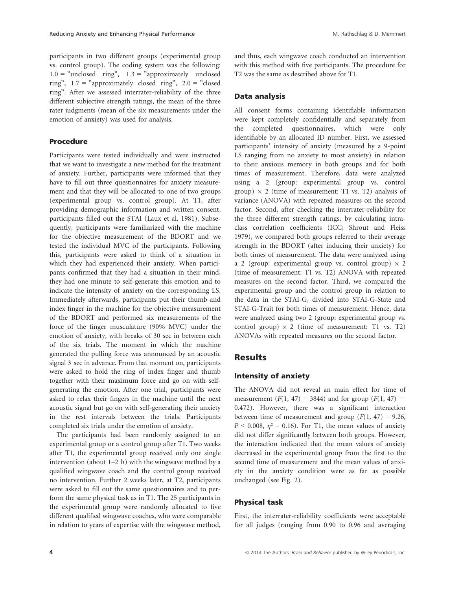participants in two different groups (experimental group vs. control group). The coding system was the following:  $1.0 =$  "unclosed ring",  $1.3 =$  "approximately unclosed ring",  $1.7 =$ "approximately closed ring",  $2.0 =$ "closed ring". After we assessed interrater-reliability of the three different subjective strength ratings, the mean of the three rater judgments (mean of the six measurements under the emotion of anxiety) was used for analysis.

#### Procedure

Participants were tested individually and were instructed that we want to investigate a new method for the treatment of anxiety. Further, participants were informed that they have to fill out three questionnaires for anxiety measurement and that they will be allocated to one of two groups (experimental group vs. control group). At T1, after providing demographic information and written consent, participants filled out the STAI (Laux et al. 1981). Subsequently, participants were familiarized with the machine for the objective measurement of the BDORT and we tested the individual MVC of the participants. Following this, participants were asked to think of a situation in which they had experienced their anxiety. When participants confirmed that they had a situation in their mind, they had one minute to self-generate this emotion and to indicate the intensity of anxiety on the corresponding LS. Immediately afterwards, participants put their thumb and index finger in the machine for the objective measurement of the BDORT and performed six measurements of the force of the finger musculature (90% MVC) under the emotion of anxiety, with breaks of 30 sec in between each of the six trials. The moment in which the machine generated the pulling force was announced by an acoustic signal 3 sec in advance. From that moment on, participants were asked to hold the ring of index finger and thumb together with their maximum force and go on with selfgenerating the emotion. After one trial, participants were asked to relax their fingers in the machine until the next acoustic signal but go on with self-generating their anxiety in the rest intervals between the trials. Participants completed six trials under the emotion of anxiety.

The participants had been randomly assigned to an experimental group or a control group after T1. Two weeks after T1, the experimental group received only one single intervention (about 1–2 h) with the wingwave method by a qualified wingwave coach and the control group received no intervention. Further 2 weeks later, at T2, participants were asked to fill out the same questionnaires and to perform the same physical task as in T1. The 25 participants in the experimental group were randomly allocated to five different qualified wingwave coaches, who were comparable in relation to years of expertise with the wingwave method,

and thus, each wingwave coach conducted an intervention with this method with five participants. The procedure for T2 was the same as described above for T1.

#### Data analysis

All consent forms containing identifiable information were kept completely confidentially and separately from the completed questionnaires, which were only identifiable by an allocated ID number. First, we assessed participants' intensity of anxiety (measured by a 9-point LS ranging from no anxiety to most anxiety) in relation to their anxious memory in both groups and for both times of measurement. Therefore, data were analyzed using a 2 (group: experimental group vs. control group)  $\times$  2 (time of measurement: T1 vs. T2) analysis of variance (ANOVA) with repeated measures on the second factor. Second, after checking the interrater-reliability for the three different strength ratings, by calculating intraclass correlation coefficients (ICC; Shrout and Fleiss 1979), we compared both groups referred to their average strength in the BDORT (after inducing their anxiety) for both times of measurement. The data were analyzed using a 2 (group: experimental group vs. control group)  $\times$  2 (time of measurement: T1 vs. T2) ANOVA with repeated measures on the second factor. Third, we compared the experimental group and the control group in relation to the data in the STAI-G, divided into STAI-G-State and STAI-G-Trait for both times of measurement. Hence, data were analyzed using two 2 (group: experimental group vs. control group)  $\times$  2 (time of measurement: T1 vs. T2) ANOVAs with repeated measures on the second factor.

#### **Results**

#### Intensity of anxiety

The ANOVA did not reveal an main effect for time of measurement  $(F(1, 47) = 3844)$  and for group  $(F(1, 47) =$ 0.472). However, there was a significant interaction between time of measurement and group  $(F(1, 47) = 9.26,$  $P < 0.008$ ,  $\eta^2 = 0.16$ ). For T1, the mean values of anxiety did not differ significantly between both groups. However, the interaction indicated that the mean values of anxiety decreased in the experimental group from the first to the second time of measurement and the mean values of anxiety in the anxiety condition were as far as possible unchanged (see Fig. 2).

#### Physical task

First, the interrater-reliability coefficients were acceptable for all judges (ranging from 0.90 to 0.96 and averaging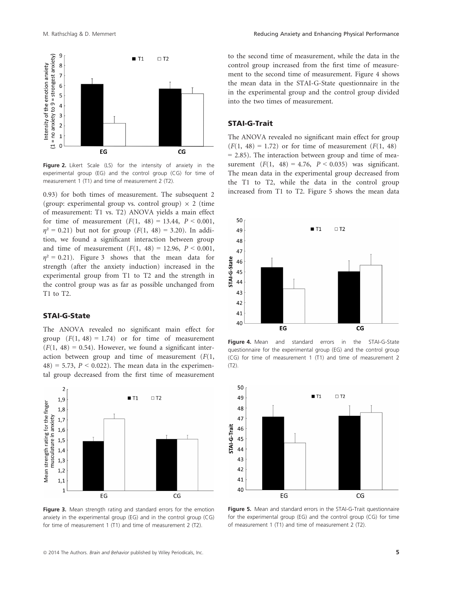

Figure 2. Likert Scale (LS) for the intensity of anxiety in the experimental group (EG) and the control group (CG) for time of measurement 1 (T1) and time of measurement 2 (T2).

0.93) for both times of measurement. The subsequent 2 (group: experimental group vs. control group)  $\times$  2 (time of measurement: T1 vs. T2) ANOVA yields a main effect for time of measurement  $(F(1, 48) = 13.44, P < 0.001,$  $\eta^2 = 0.21$ ) but not for group ( $F(1, 48) = 3.20$ ). In addition, we found a significant interaction between group and time of measurement  $(F(1, 48) = 12.96, P < 0.001,$  $\eta^2 = 0.21$ ). Figure 3 shows that the mean data for strength (after the anxiety induction) increased in the experimental group from T1 to T2 and the strength in the control group was as far as possible unchanged from T1 to T2.

#### STAI-G-State

The ANOVA revealed no significant main effect for group  $(F(1, 48) = 1.74)$  or for time of measurement  $(F(1, 48) = 0.54)$ . However, we found a significant interaction between group and time of measurement  $(F(1,$  $48$ ) = 5.73,  $P < 0.022$ ). The mean data in the experimental group decreased from the first time of measurement



Figure 3. Mean strength rating and standard errors for the emotion anxiety in the experimental group (EG) and in the control group (CG) for time of measurement 1 (T1) and time of measurement 2 (T2).

to the second time of measurement, while the data in the control group increased from the first time of measurement to the second time of measurement. Figure 4 shows the mean data in the STAI-G-State questionnaire in the in the experimental group and the control group divided into the two times of measurement.

#### STAI-G-Trait

The ANOVA revealed no significant main effect for group  $(F(1, 48) = 1.72)$  or for time of measurement  $(F(1, 48))$  $= 2.85$ ). The interaction between group and time of measurement  $(F(1, 48) = 4.76, P < 0.035)$  was significant. The mean data in the experimental group decreased from the T1 to T2, while the data in the control group increased from T1 to T2. Figure 5 shows the mean data



Figure 4. Mean and standard errors in the STAI-G-State questionnaire for the experimental group (EG) and the control group (CG) for time of measurement 1 (T1) and time of measurement 2 (T2).



Figure 5. Mean and standard errors in the STAI-G-Trait questionnaire for the experimental group (EG) and the control group (CG) for time of measurement 1 (T1) and time of measurement 2 (T2).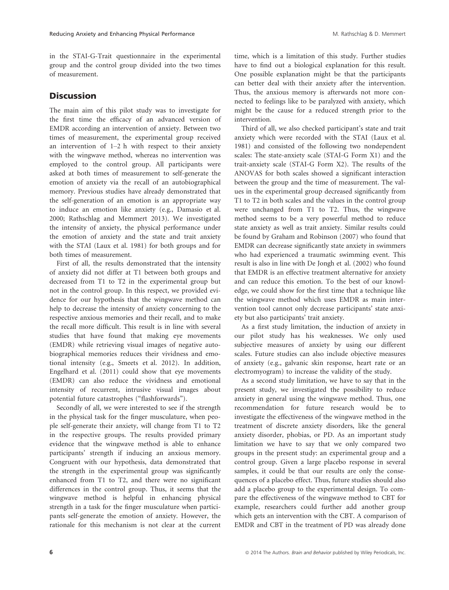in the STAI-G-Trait questionnaire in the experimental group and the control group divided into the two times of measurement.

# **Discussion**

The main aim of this pilot study was to investigate for the first time the efficacy of an advanced version of EMDR according an intervention of anxiety. Between two times of measurement, the experimental group received an intervention of 1–2 h with respect to their anxiety with the wingwave method, whereas no intervention was employed to the control group. All participants were asked at both times of measurement to self-generate the emotion of anxiety via the recall of an autobiographical memory. Previous studies have already demonstrated that the self-generation of an emotion is an appropriate way to induce an emotion like anxiety (e.g., Damasio et al. 2000; Rathschlag and Memmert 2013). We investigated the intensity of anxiety, the physical performance under the emotion of anxiety and the state and trait anxiety with the STAI (Laux et al. 1981) for both groups and for both times of measurement.

First of all, the results demonstrated that the intensity of anxiety did not differ at T1 between both groups and decreased from T1 to T2 in the experimental group but not in the control group. In this respect, we provided evidence for our hypothesis that the wingwave method can help to decrease the intensity of anxiety concerning to the respective anxious memories and their recall, and to make the recall more difficult. This result is in line with several studies that have found that making eye movements (EMDR) while retrieving visual images of negative autobiographical memories reduces their vividness and emotional intensity (e.g., Smeets et al. 2012). In addition, Engelhard et al. (2011) could show that eye movements (EMDR) can also reduce the vividness and emotional intensity of recurrent, intrusive visual images about potential future catastrophes ("flashforwards").

Secondly of all, we were interested to see if the strength in the physical task for the finger musculature, when people self-generate their anxiety, will change from T1 to T2 in the respective groups. The results provided primary evidence that the wingwave method is able to enhance participants' strength if inducing an anxious memory. Congruent with our hypothesis, data demonstrated that the strength in the experimental group was significantly enhanced from T1 to T2, and there were no significant differences in the control group. Thus, it seems that the wingwave method is helpful in enhancing physical strength in a task for the finger musculature when participants self-generate the emotion of anxiety. However, the rationale for this mechanism is not clear at the current time, which is a limitation of this study. Further studies have to find out a biological explanation for this result. One possible explanation might be that the participants can better deal with their anxiety after the intervention. Thus, the anxious memory is afterwards not more connected to feelings like to be paralyzed with anxiety, which might be the cause for a reduced strength prior to the intervention.

Third of all, we also checked participant's state and trait anxiety which were recorded with the STAI (Laux et al. 1981) and consisted of the following two nondependent scales: The state-anxiety scale (STAI-G Form X1) and the trait-anxiety scale (STAI-G Form X2). The results of the ANOVAS for both scales showed a significant interaction between the group and the time of measurement. The values in the experimental group decreased significantly from T1 to T2 in both scales and the values in the control group were unchanged from T1 to T2. Thus, the wingwave method seems to be a very powerful method to reduce state anxiety as well as trait anxiety. Similar results could be found by Graham and Robinson (2007) who found that EMDR can decrease significantly state anxiety in swimmers who had experienced a traumatic swimming event. This result is also in line with De Jongh et al. (2002) who found that EMDR is an effective treatment alternative for anxiety and can reduce this emotion. To the best of our knowledge, we could show for the first time that a technique like the wingwave method which uses EMDR as main intervention tool cannot only decrease participants' state anxiety but also participants' trait anxiety.

As a first study limitation, the induction of anxiety in our pilot study has his weaknesses. We only used subjective measures of anxiety by using our different scales. Future studies can also include objective measures of anxiety (e.g., galvanic skin response, heart rate or an electromyogram) to increase the validity of the study.

As a second study limitation, we have to say that in the present study, we investigated the possibility to reduce anxiety in general using the wingwave method. Thus, one recommendation for future research would be to investigate the effectiveness of the wingwave method in the treatment of discrete anxiety disorders, like the general anxiety disorder, phobias, or PD. As an important study limitation we have to say that we only compared two groups in the present study: an experimental group and a control group. Given a large placebo response in several samples, it could be that our results are only the consequences of a placebo effect. Thus, future studies should also add a placebo group to the experimental design. To compare the effectiveness of the wingwave method to CBT for example, researchers could further add another group which gets an intervention with the CBT. A comparison of EMDR and CBT in the treatment of PD was already done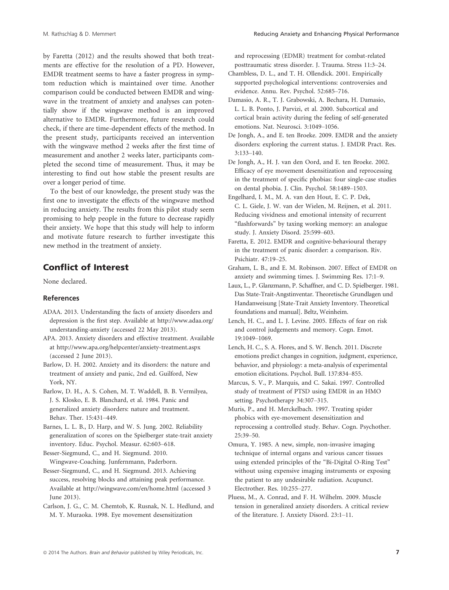by Faretta (2012) and the results showed that both treatments are effective for the resolution of a PD. However, EMDR treatment seems to have a faster progress in symptom reduction which is maintained over time. Another comparison could be conducted between EMDR and wingwave in the treatment of anxiety and analyses can potentially show if the wingwave method is an improved alternative to EMDR. Furthermore, future research could check, if there are time-dependent effects of the method. In the present study, participants received an intervention with the wingwave method 2 weeks after the first time of measurement and another 2 weeks later, participants completed the second time of measurement. Thus, it may be interesting to find out how stable the present results are over a longer period of time.

To the best of our knowledge, the present study was the first one to investigate the effects of the wingwave method in reducing anxiety. The results from this pilot study seem promising to help people in the future to decrease rapidly their anxiety. We hope that this study will help to inform and motivate future research to further investigate this new method in the treatment of anxiety.

# Conflict of Interest

None declared.

#### References

- ADAA. 2013. Understanding the facts of anxiety disorders and depression is the first step. Available at http://www.adaa.org/ understanding-anxiety (accessed 22 May 2013).
- APA. 2013. Anxiety disorders and effective treatment. Available at http://www.apa.org/helpcenter/anxiety-treatment.aspx (accessed 2 June 2013).
- Barlow, D. H. 2002. Anxiety and its disorders: the nature and treatment of anxiety and panic, 2nd ed. Guilford, New York, NY.
- Barlow, D. H., A. S. Cohen, M. T. Waddell, B. B. Vermilyea, J. S. Klosko, E. B. Blanchard, et al. 1984. Panic and generalized anxiety disorders: nature and treatment. Behav. Ther. 15:431–449.

Barnes, L. L. B., D. Harp, and W. S. Jung. 2002. Reliability generalization of scores on the Spielberger state-trait anxiety inventory. Educ. Psychol. Measur. 62:603–618.

- Besser-Siegmund, C., and H. Siegmund. 2010. Wingwave-Coaching. Junfernmann, Paderborn.
- Besser-Siegmund, C., and H. Siegmund. 2013. Achieving success, resolving blocks and attaining peak performance. Available at http://wingwave.com/en/home.html (accessed 3 June 2013).
- Carlson, J. G., C. M. Chemtob, K. Rusnak, N. L. Hedlund, and M. Y. Muraoka. 1998. Eye movement desensitization

and reprocessing (EDMR) treatment for combat-related posttraumatic stress disorder. J. Trauma. Stress 11:3–24.

- Chambless, D. L., and T. H. Ollendick. 2001. Empirically supported psychological interventions: controversies and evidence. Annu. Rev. Psychol. 52:685–716.
- Damasio, A. R., T. J. Grabowski, A. Bechara, H. Damasio, L. L. B. Ponto, J. Parvizi, et al. 2000. Subcortical and cortical brain activity during the feeling of self-generated emotions. Nat. Neurosci. 3:1049–1056.
- De Jongh, A., and E. ten Broeke. 2009. EMDR and the anxiety disorders: exploring the current status. J. EMDR Pract. Res. 3:133–140.
- De Jongh, A., H. J. van den Oord, and E. ten Broeke. 2002. Efficacy of eye movement desensitization and reprocessing in the treatment of specific phobias: four single-case studies on dental phobia. J. Clin. Psychol. 58:1489–1503.
- Engelhard, I. M., M. A. van den Hout, E. C. P. Dek, C. L. Giele, J. W. van der Wielen, M. Reijnen, et al. 2011. Reducing vividness and emotional intensity of recurrent "flashforwards" by taxing working memory: an analogue study. J. Anxiety Disord. 25:599–603.
- Faretta, E. 2012. EMDR and cognitive-behavioural therapy in the treatment of panic disorder: a comparison. Riv. Psichiatr. 47:19–25.
- Graham, L. B., and E. M. Robinson. 2007. Effect of EMDR on anxiety and swimming times. J. Swimming Res. 17:1–9.
- Laux, L., P. Glanzmann, P. Schaffner, and C. D. Spielberger. 1981. Das State-Trait-Angstinventar. Theoretische Grundlagen und Handanweisung [State-Trait Anxiety Inventory. Theoretical foundations and manual]. Beltz, Weinheim.
- Lench, H. C., and L. J. Levine. 2005. Effects of fear on risk and control judgements and memory. Cogn. Emot. 19:1049–1069.
- Lench, H. C., S. A. Flores, and S. W. Bench. 2011. Discrete emotions predict changes in cognition, judgment, experience, behavior, and physiology: a meta-analysis of experimental emotion elicitations. Psychol. Bull. 137:834–855.
- Marcus, S. V., P. Marquis, and C. Sakai. 1997. Controlled study of treatment of PTSD using EMDR in an HMO setting. Psychotherapy 34:307–315.
- Muris, P., and H. Merckelbach. 1997. Treating spider phobics with eye-movement desensitization and reprocessing a controlled study. Behav. Cogn. Psychother. 25:39–50.
- Omura, Y. 1985. A new, simple, non-invasive imaging technique of internal organs and various cancer tissues using extended principles of the "Bi-Digital O-Ring Test" without using expensive imaging instruments or exposing the patient to any undesirable radiation. Acupunct. Electrother. Res. 10:255–277.
- Pluess, M., A. Conrad, and F. H. Wilhelm. 2009. Muscle tension in generalized anxiety disorders. A critical review of the literature. J. Anxiety Disord. 23:1–11.